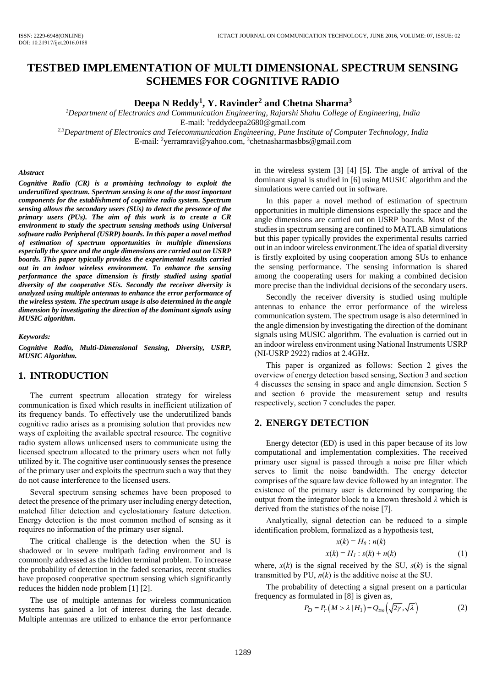# **TESTBED IMPLEMENTATION OF MULTI DIMENSIONAL SPECTRUM SENSING SCHEMES FOR COGNITIVE RADIO**

## **Deepa N Reddy<sup>1</sup> , Y. Ravinder<sup>2</sup> and Chetna Sharma<sup>3</sup>**

*<sup>1</sup>Department of Electronics and Communication Engineering, Rajarshi Shahu College of Engineering, India*  E-mail: <sup>1</sup>reddydeepa2680@gmail.com *2,3Department of Electronics and Telecommunication Engineering, Pune Institute of Computer Technology, India* 

E-mail: <sup>2</sup>yerramravi@yahoo.com, <sup>3</sup>[chetnasharmasbbs@gmail.com](mailto:reddydeepa2680@gmail.com)

#### *Abstract*

*Cognitive Radio (CR) is a promising technology to exploit the underutilized spectrum. Spectrum sensing is one of the most important components for the establishment of cognitive radio system. Spectrum sensing allows the secondary users (SUs) to detect the presence of the primary users (PUs). The aim of this work is to create a CR environment to study the spectrum sensing methods using Universal software radio Peripheral (USRP) boards. In this paper a novel method of estimation of spectrum opportunities in multiple dimensions especially the space and the angle dimensions are carried out on USRP boards. This paper typically provides the experimental results carried out in an indoor wireless environment. To enhance the sensing performance the space dimension is firstly studied using spatial diversity of the cooperative SUs. Secondly the receiver diversity is analyzed using multiple antennas to enhance the error performance of the wireless system. The spectrum usage is also determined in the angle dimension by investigating the direction of the dominant signals using MUSIC algorithm.*

*Keywords:* 

*Cognitive Radio, Multi-Dimensional Sensing, Diversity, USRP, MUSIC Algorithm.* 

### **1. INTRODUCTION**

The current spectrum allocation strategy for wireless communication is fixed which results in inefficient utilization of its frequency bands. To effectively use the underutilized bands cognitive radio arises as a promising solution that provides new ways of exploiting the available spectral resource. The cognitive radio system allows unlicensed users to communicate using the licensed spectrum allocated to the primary users when not fully utilized by it. The cognitive user continuously senses the presence of the primary user and exploits the spectrum such a way that they do not cause interference to the licensed users.

Several spectrum sensing schemes have been proposed to detect the presence of the primary user including energy detection, matched filter detection and cyclostationary feature detection. Energy detection is the most common method of sensing as it requires no information of the primary user signal.

The critical challenge is the detection when the SU is shadowed or in severe multipath fading environment and is commonly addressed as the hidden terminal problem. To increase the probability of detection in the faded scenarios, recent studies have proposed cooperative spectrum sensing which significantly reduces the hidden node problem [1] [2].

The use of multiple antennas for wireless communication systems has gained a lot of interest during the last decade. Multiple antennas are utilized to enhance the error performance

in the wireless system [3] [4] [5]. The angle of arrival of the dominant signal is studied in [6] using MUSIC algorithm and the simulations were carried out in software.

In this paper a novel method of estimation of spectrum opportunities in multiple dimensions especially the space and the angle dimensions are carried out on USRP boards. Most of the studies in spectrum sensing are confined to MATLAB simulations but this paper typically provides the experimental results carried out in an indoor wireless environment.The idea of spatial diversity is firstly exploited by using cooperation among SUs to enhance the sensing performance. The sensing information is shared among the cooperating users for making a combined decision more precise than the individual decisions of the secondary users.

Secondly the receiver diversity is studied using multiple antennas to enhance the error performance of the wireless communication system. The spectrum usage is also determined in the angle dimension by investigating the direction of the dominant signals using MUSIC algorithm. The evaluation is carried out in an indoor wireless environment using National Instruments USRP (NI-USRP 2922) radios at 2.4GHz.

This paper is organized as follows: Section 2 gives the overview of energy detection based sensing, Section 3 and section 4 discusses the sensing in space and angle dimension. Section 5 and section 6 provide the measurement setup and results respectively, section 7 concludes the paper.

## **2. ENERGY DETECTION**

Energy detector (ED) is used in this paper because of its low computational and implementation complexities. The received primary user signal is passed through a noise pre filter which serves to limit the noise bandwidth. The energy detector comprises of the square law device followed by an integrator. The existence of the primary user is determined by comparing the output from the integrator block to a known threshold *λ* which is derived from the statistics of the noise [7].

Analytically, signal detection can be reduced to a simple identification problem, formalized as a hypothesis test,

$$
x(k) = H_0 : n(k)
$$
  

$$
x(k) = H_1 : s(k) + n(k)
$$
 (1)

where,  $x(k)$  is the signal received by the SU,  $s(k)$  is the signal transmitted by PU,  $n(k)$  is the additive noise at the SU.

The probability of detecting a signal present on a particular frequency as formulated in [8] is given as,<br>  $P_D = P_r (M > \lambda | H_1) = Q_{\tau \omega} (\sqrt{2\gamma}, \sqrt{\lambda})$ 

$$
P_D = P_r(M > \lambda | H_1) = Q_{\tau\omega}(\sqrt{2\gamma}, \sqrt{\lambda})
$$
 (2)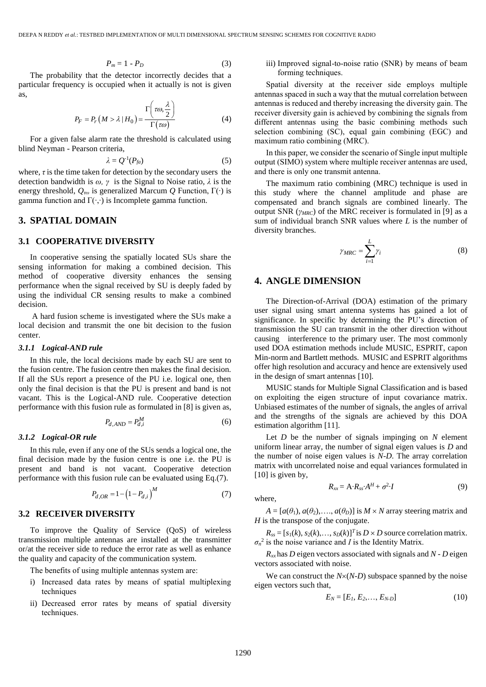$$
P_m = 1 - P_D \tag{3}
$$

The probability that the detector incorrectly decides that a particular frequency is occupied when it actually is not is given as,  $\sqrt{2}$ 

$$
P_F = P_r \left( M > \lambda \mid H_0 \right) = \frac{\Gamma \left( \tau \omega, \frac{\lambda}{2} \right)}{\Gamma \left( \tau \omega \right)} \tag{4}
$$

For a given false alarm rate the threshold is calculated using blind Neyman - Pearson criteria,

$$
\lambda = Q^{-1}(P_{fa})
$$
\n(5)

where,  $\tau$  is the time taken for detection by the secondary users the detection bandwidth is *ω, γ* is the Signal to Noise ratio, *λ* is the energy threshold, *Qτω* is generalized Marcum *Q* Function, Γ(∙) is gamma function and  $\Gamma(\cdot, \cdot)$  is Incomplete gamma function.

### **3. SPATIAL DOMAIN**

#### **3.1 COOPERATIVE DIVERSITY**

In cooperative sensing the spatially located SUs share the sensing information for making a combined decision. This method of cooperative diversity enhances the sensing performance when the signal received by SU is deeply faded by using the individual CR sensing results to make a combined decision.

A hard fusion scheme is investigated where the SUs make a local decision and transmit the one bit decision to the fusion center.

#### *3.1.1 Logical-AND rule*

In this rule, the local decisions made by each SU are sent to the fusion centre. The fusion centre then makes the final decision. If all the SUs report a presence of the PU i.e. logical one, then only the final decision is that the PU is present and band is not vacant. This is the Logical-AND rule. Cooperative detection performance with this fusion rule as formulated in [8] is given as,

$$
P_{d,AND} = P_{d,i}^M \tag{6}
$$

#### *3.1.2 Logical-OR rule*

In this rule, even if any one of the SUs sends a logical one, the final decision made by the fusion centre is one i.e. the PU is present and band is not vacant. Cooperative detection performance with this fusion rule can be evaluated using Eq.(7).

$$
P_{d,OR} = 1 - \left(1 - P_{d,i}\right)^M
$$
 (7)

### **3.2 RECEIVER DIVERSITY**

To improve the Quality of Service (QoS) of wireless transmission multiple antennas are installed at the transmitter or/at the receiver side to reduce the error rate as well as enhance the quality and capacity of the communication system.

The benefits of using multiple antennas system are:

- i) Increased data rates by means of spatial multiplexing techniques
- ii) Decreased error rates by means of spatial diversity techniques.

iii) Improved signal-to-noise ratio (SNR) by means of beam forming techniques.

Spatial diversity at the receiver side employs multiple antennas spaced in such a way that the mutual correlation between antennas is reduced and thereby increasing the diversity gain. The receiver diversity gain is achieved by combining the signals from different antennas using the basic combining methods such selection combining (SC), equal gain combining (EGC) and maximum ratio combining (MRC).

In this paper, we consider the scenario of Single input multiple output (SIMO) system where multiple receiver antennas are used, and there is only one transmit antenna.

The maximum ratio combining (MRC) technique is used in this study where the channel amplitude and phase are compensated and branch signals are combined linearly. The output SNR (*γMRC*) of the MRC receiver is formulated in [9] as a sum of individual branch SNR values where *L* is the number of diversity branches.

$$
\gamma_{MRC} = \sum_{i=1}^{L} \gamma_i \tag{8}
$$

### **4. ANGLE DIMENSION**

The Direction-of-Arrival (DOA) estimation of the primary user signal using smart antenna systems has gained a lot of significance. In specific by determining the PU's direction of transmission the SU can transmit in the other direction without causing interference to the primary user. The most commonly used DOA estimation methods include MUSIC, ESPRIT, capon Min-norm and Bartlett methods. MUSIC and ESPRIT algorithms offer high resolution and accuracy and hence are extensively used in the design of smart antennas [10].

MUSIC stands for Multiple Signal Classification and is based on exploiting the eigen structure of input covariance matrix. Unbiased estimates of the number of signals, the angles of arrival and the strengths of the signals are achieved by this DOA estimation algorithm [11].

Let *D* be the number of signals impinging on *N* element uniform linear array, the number of signal eigen values is *D* and the number of noise eigen values is *N*-*D*. The array correlation matrix with uncorrelated noise and equal variances formulated in [10] is given by,

where,

 $A = [a(\theta_1), a(\theta_2), \ldots, a(\theta_D)]$  is  $M \times N$  array steering matrix and *H* is the transpose of the conjugate.

 $R_{xx} = A \cdot R_{ss} \cdot A^H + \sigma^2$ 

 $R_{ss} = [s_1(k), s_2(k), \ldots, s_D(k)]^T$  is  $D \times D$  source correlation matrix.  $\sigma_n^2$  is the noise variance and *I* is the Identity Matrix.

 $R_{xx}$  has *D* eigen vectors associated with signals and *N* - *D* eigen vectors associated with noise.

We can construct the  $N\times(N-D)$  subspace spanned by the noise eigen vectors such that,

$$
E_N = [E_1, E_2, \dots, E_{N-D}] \tag{10}
$$

∙*I* (9)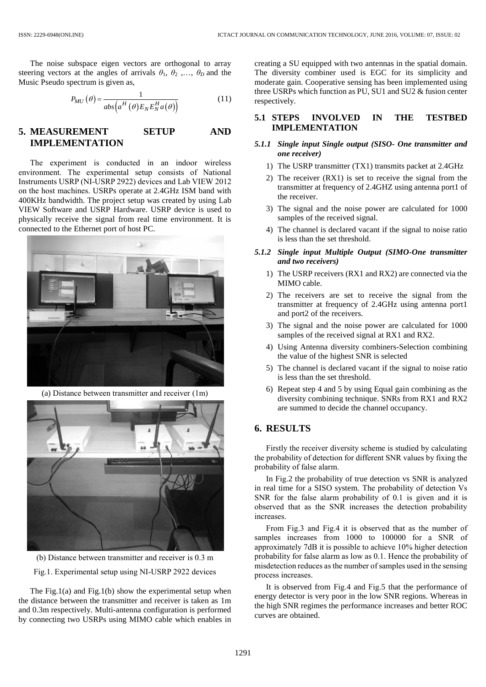The noise subspace eigen vectors are orthogonal to array steering vectors at the angles of arrivals  $\theta_1$ ,  $\theta_2$ , ...,  $\theta_D$  and the Music Pseudo spectrum is given as,

$$
P_{MU}(\theta) = \frac{1}{abs\left(a^H(\theta)E_N E_N^H a(\theta)\right)}
$$
(11)

## **5. MEASUREMENT SETUP AND IMPLEMENTATION**

The experiment is conducted in an indoor wireless environment. The experimental setup consists of National Instruments USRP (NI-USRP 2922) devices and Lab VIEW 2012 on the host machines. USRPs operate at 2.4GHz ISM band with 400KHz bandwidth. The project setup was created by using Lab VIEW Software and USRP Hardware. USRP device is used to physically receive the signal from real time environment. It is connected to the Ethernet port of host PC.



(a) Distance between transmitter and receiver (1m)



(b) Distance between transmitter and receiver is 0.3 m

Fig.1. Experimental setup using NI-USRP 2922 devices

The Fig.1(a) and Fig.1(b) show the experimental setup when the distance between the transmitter and receiver is taken as 1m and 0.3m respectively. Multi-antenna configuration is performed by connecting two USRPs using MIMO cable which enables in creating a SU equipped with two antennas in the spatial domain. The diversity combiner used is EGC for its simplicity and moderate gain. Cooperative sensing has been implemented using three USRPs which function as PU, SU1 and SU2 & fusion center respectively.

### **5.1 STEPS INVOLVED IN THE TESTBED IMPLEMENTATION**

#### *5.1.1 Single input Single output (SISO- One transmitter and one receiver)*

- 1) The USRP transmitter (TX1) transmits packet at 2.4GHz
- 2) The receiver (RX1) is set to receive the signal from the transmitter at frequency of 2.4GHZ using antenna port1 of the receiver.
- 3) The signal and the noise power are calculated for 1000 samples of the received signal.
- 4) The channel is declared vacant if the signal to noise ratio is less than the set threshold.
- *5.1.2 Single input Multiple Output (SIMO-One transmitter and two receivers)*
	- 1) The USRP receivers (RX1 and RX2) are connected via the MIMO cable.
	- 2) The receivers are set to receive the signal from the transmitter at frequency of 2.4GHz using antenna port1 and port2 of the receivers.
	- 3) The signal and the noise power are calculated for 1000 samples of the received signal at RX1 and RX2.
	- 4) Using Antenna diversity combiners-Selection combining the value of the highest SNR is selected
	- 5) The channel is declared vacant if the signal to noise ratio is less than the set threshold.
	- 6) Repeat step 4 and 5 by using Equal gain combining as the diversity combining technique. SNRs from RX1 and RX2 are summed to decide the channel occupancy.

### **6. RESULTS**

Firstly the receiver diversity scheme is studied by calculating the probability of detection for different SNR values by fixing the probability of false alarm.

In Fig.2 the probability of true detection vs SNR is analyzed in real time for a SISO system. The probability of detection Vs SNR for the false alarm probability of 0.1 is given and it is observed that as the SNR increases the detection probability increases.

From Fig.3 and Fig.4 it is observed that as the number of samples increases from 1000 to 100000 for a SNR of approximately 7dB it is possible to achieve 10% higher detection probability for false alarm as low as 0.1. Hence the probability of misdetection reduces as the number of samples used in the sensing process increases.

It is observed from Fig.4 and Fig.5 that the performance of energy detector is very poor in the low SNR regions. Whereas in the high SNR regimes the performance increases and better ROC curves are obtained.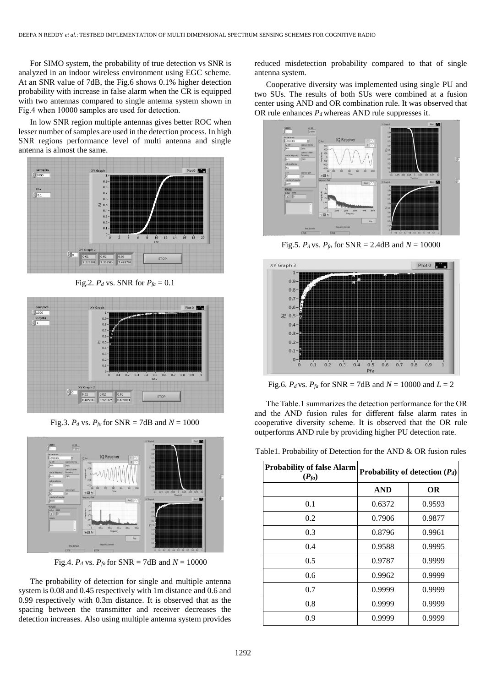For SIMO system, the probability of true detection vs SNR is analyzed in an indoor wireless environment using EGC scheme. At an SNR value of 7dB, the Fig.6 shows 0.1% higher detection probability with increase in false alarm when the CR is equipped with two antennas compared to single antenna system shown in Fig.4 when 10000 samples are used for detection.

In low SNR region multiple antennas gives better ROC when lesser number of samples are used in the detection process. In high SNR regions performance level of multi antenna and single antenna is almost the same.



Fig.2.  $P_d$  vs. SNR for  $P_{fa} = 0.1$ 



Fig.3.  $P_d$  vs.  $P_{fa}$  for SNR = 7dB and  $N = 1000$ 



Fig.4.  $P_d$  vs.  $P_{fa}$  for SNR = 7dB and  $N = 10000$ 

The probability of detection for single and multiple antenna system is 0.08 and 0.45 respectively with 1m distance and 0.6 and 0.99 respectively with 0.3m distance. It is observed that as the spacing between the transmitter and receiver decreases the detection increases. Also using multiple antenna system provides

reduced misdetection probability compared to that of single antenna system.

Cooperative diversity was implemented using single PU and two SUs. The results of both SUs were combined at a fusion center using AND and OR combination rule. It was observed that OR rule enhances  $P_d$  whereas AND rule suppresses it.



Fig.5. *P<sub>d</sub>* vs. *P<sub>fa</sub>* for SNR = 2.4dB and  $N = 10000$ 



Fig.6. *P<sub>d</sub>* vs. *P<sub>fa</sub>* for SNR = 7dB and  $N = 10000$  and  $L = 2$ 

The Table.1 summarizes the detection performance for the OR and the AND fusion rules for different false alarm rates in cooperative diversity scheme. It is observed that the OR rule outperforms AND rule by providing higher PU detection rate.

|  | Table 1. Probability of Detection for the AND & OR fusion rules |  |  |  |
|--|-----------------------------------------------------------------|--|--|--|
|  |                                                                 |  |  |  |

| <b>Probability of false Alarm</b><br>$(P_{fa})$ | Probability of detection $(P_d)$ |           |  |
|-------------------------------------------------|----------------------------------|-----------|--|
|                                                 | <b>AND</b>                       | <b>OR</b> |  |
| 0.1                                             | 0.6372                           | 0.9593    |  |
| 0.2                                             | 0.7906                           | 0.9877    |  |
| 0.3                                             | 0.8796                           | 0.9961    |  |
| 0.4                                             | 0.9588                           | 0.9995    |  |
| 0.5                                             | 0.9787                           | 0.9999    |  |
| 0.6                                             | 0.9962                           | 0.9999    |  |
| 0.7                                             | 0.9999                           | 0.9999    |  |
| 0.8                                             | 0.9999                           | 0.9999    |  |
| 0.9                                             | 0.9999                           | 0.9999    |  |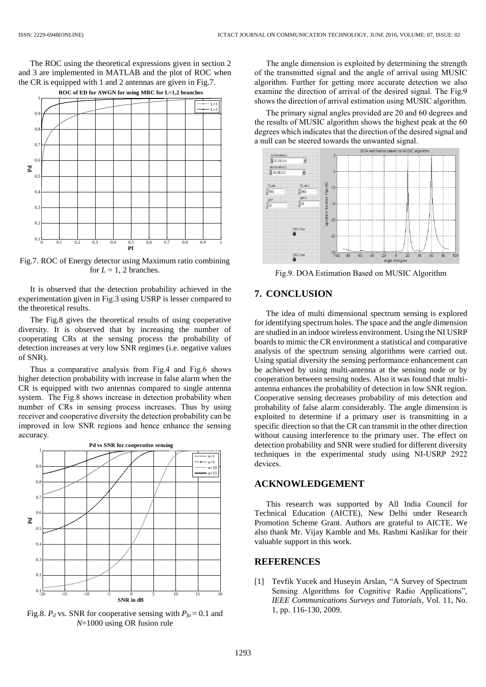The ROC using the theoretical expressions given in section 2 and 3 are implemented in MATLAB and the plot of ROC when the CR is equipped with 1 and 2 antennas are given in Fig.7.



Fig.7. ROC of Energy detector using Maximum ratio combining for  $L = 1$ , 2 branches.

It is observed that the detection probability achieved in the experimentation given in Fig.3 using USRP is lesser compared to the theoretical results.

The Fig.8 gives the theoretical results of using cooperative diversity. It is observed that by increasing the number of cooperating CRs at the sensing process the probability of detection increases at very low SNR regimes (i.e. negative values of SNR).

Thus a comparative analysis from Fig.4 and Fig.6 shows higher detection probability with increase in false alarm when the CR is equipped with two antennas compared to single antenna system. The Fig.8 shows increase in detection probability when number of CRs in sensing process increases. Thus by using receiver and cooperative diversity the detection probability can be improved in low SNR regions and hence enhance the sensing accuracy.



Fig.8.  $P_d$  vs. SNR for cooperative sensing with  $P_{fa} = 0.1$  and *N*=1000 using OR fusion rule

The angle dimension is exploited by determining the strength of the transmitted signal and the angle of arrival using MUSIC algorithm. Further for getting more accurate detection we also examine the direction of arrival of the desired signal. The Fig.9 shows the direction of arrival estimation using MUSIC algorithm.

The primary signal angles provided are 20 and 60 degrees and the results of MUSIC algorithm shows the highest peak at the 60 degrees which indicates that the direction of the desired signal and a null can be steered towards the unwanted signal.



Fig.9. DOA Estimation Based on MUSIC Algorithm

## **7. CONCLUSION**

The idea of multi dimensional spectrum sensing is explored for identifying spectrum holes. The space and the angle dimension are studied in an indoor wireless environment. Using the NI USRP boards to mimic the CR environment a statistical and comparative analysis of the spectrum sensing algorithms were carried out. Using spatial diversity the sensing performance enhancement can be achieved by using multi-antenna at the sensing node or by cooperation between sensing nodes. Also it was found that multiantenna enhances the probability of detection in low SNR region. Cooperative sensing decreases probability of mis detection and probability of false alarm considerably. The angle dimension is exploited to determine if a primary user is transmitting in a specific direction so that the CR can transmit in the other direction without causing interference to the primary user. The effect on detection probability and SNR were studied for different diversity techniques in the experimental study using NI-USRP 2922 devices.

## **ACKNOWLEDGEMENT**

This research was supported by All India Council for Technical Education (AICTE), New Delhi under Research Promotion Scheme Grant. Authors are grateful to AICTE. We also thank Mr. Vijay Kamble and Ms. Rashmi Kaslikar for their valuable support in this work.

## **REFERENCES**

[1] Tevfik Yucek and Huseyin Arslan, "A Survey of Spectrum Sensing Algorithms for Cognitive Radio Applications", *IEEE Communications Surveys and Tutorials*, Vol. 11, No. 1, pp. 116-130, 2009.